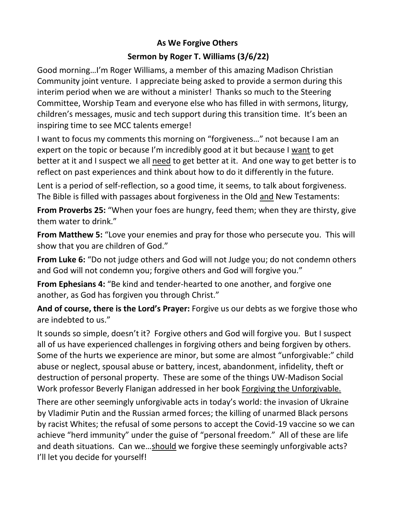## **As We Forgive Others**

## **Sermon by Roger T. Williams (3/6/22)**

Good morning…I'm Roger Williams, a member of this amazing Madison Christian Community joint venture. I appreciate being asked to provide a sermon during this interim period when we are without a minister! Thanks so much to the Steering Committee, Worship Team and everyone else who has filled in with sermons, liturgy, children's messages, music and tech support during this transition time. It's been an inspiring time to see MCC talents emerge!

I want to focus my comments this morning on "forgiveness…" not because I am an expert on the topic or because I'm incredibly good at it but because I want to get better at it and I suspect we all need to get better at it. And one way to get better is to reflect on past experiences and think about how to do it differently in the future.

Lent is a period of self-reflection, so a good time, it seems, to talk about forgiveness. The Bible is filled with passages about forgiveness in the Old and New Testaments:

**From Proverbs 25:** "When your foes are hungry, feed them; when they are thirsty, give them water to drink."

**From Matthew 5:** "Love your enemies and pray for those who persecute you. This will show that you are children of God."

**From Luke 6:** "Do not judge others and God will not Judge you; do not condemn others and God will not condemn you; forgive others and God will forgive you."

**From Ephesians 4:** "Be kind and tender-hearted to one another, and forgive one another, as God has forgiven you through Christ."

**And of course, there is the Lord's Prayer:** Forgive us our debts as we forgive those who are indebted to us."

It sounds so simple, doesn't it? Forgive others and God will forgive you. But I suspect all of us have experienced challenges in forgiving others and being forgiven by others. Some of the hurts we experience are minor, but some are almost "unforgivable:" child abuse or neglect, spousal abuse or battery, incest, abandonment, infidelity, theft or destruction of personal property. These are some of the things UW-Madison Social Work professor Beverly Flanigan addressed in her book Forgiving the Unforgivable.

There are other seemingly unforgivable acts in today's world: the invasion of Ukraine by Vladimir Putin and the Russian armed forces; the killing of unarmed Black persons by racist Whites; the refusal of some persons to accept the Covid-19 vaccine so we can achieve "herd immunity" under the guise of "personal freedom." All of these are life and death situations. Can we…should we forgive these seemingly unforgivable acts? I'll let you decide for yourself!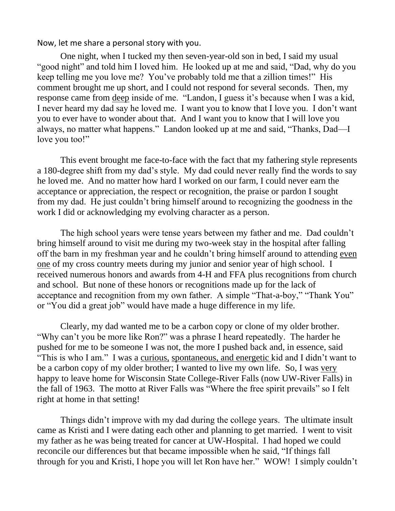Now, let me share a personal story with you.

One night, when I tucked my then seven-year-old son in bed, I said my usual "good night" and told him I loved him. He looked up at me and said, "Dad, why do you keep telling me you love me? You've probably told me that a zillion times!" His comment brought me up short, and I could not respond for several seconds. Then, my response came from deep inside of me. "Landon, I guess it's because when I was a kid, I never heard my dad say he loved me. I want you to know that I love you. I don't want you to ever have to wonder about that. And I want you to know that I will love you always, no matter what happens." Landon looked up at me and said, "Thanks, Dad—I love you too!"

This event brought me face-to-face with the fact that my fathering style represents a 180-degree shift from my dad's style. My dad could never really find the words to say he loved me. And no matter how hard I worked on our farm, I could never earn the acceptance or appreciation, the respect or recognition, the praise or pardon I sought from my dad. He just couldn't bring himself around to recognizing the goodness in the work I did or acknowledging my evolving character as a person.

The high school years were tense years between my father and me. Dad couldn't bring himself around to visit me during my two-week stay in the hospital after falling off the barn in my freshman year and he couldn't bring himself around to attending even one of my cross country meets during my junior and senior year of high school. I received numerous honors and awards from 4-H and FFA plus recognitions from church and school. But none of these honors or recognitions made up for the lack of acceptance and recognition from my own father. A simple "That-a-boy," "Thank You" or "You did a great job" would have made a huge difference in my life.

Clearly, my dad wanted me to be a carbon copy or clone of my older brother. "Why can't you be more like Ron?" was a phrase I heard repeatedly. The harder he pushed for me to be someone I was not, the more I pushed back and, in essence, said "This is who I am." I was a curious, spontaneous, and energetic kid and I didn't want to be a carbon copy of my older brother; I wanted to live my own life. So, I was very happy to leave home for Wisconsin State College-River Falls (now UW-River Falls) in the fall of 1963. The motto at River Falls was "Where the free spirit prevails" so I felt right at home in that setting!

Things didn't improve with my dad during the college years. The ultimate insult came as Kristi and I were dating each other and planning to get married. I went to visit my father as he was being treated for cancer at UW-Hospital. I had hoped we could reconcile our differences but that became impossible when he said, "If things fall through for you and Kristi, I hope you will let Ron have her." WOW! I simply couldn't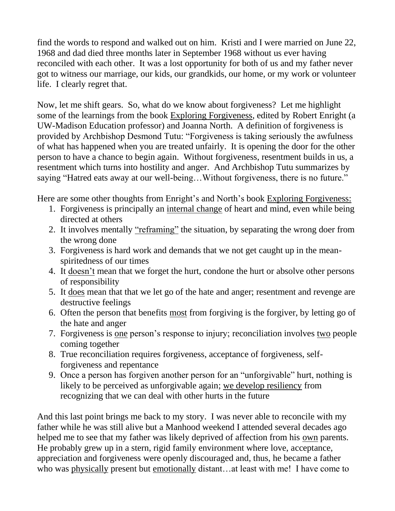find the words to respond and walked out on him. Kristi and I were married on June 22, 1968 and dad died three months later in September 1968 without us ever having reconciled with each other. It was a lost opportunity for both of us and my father never got to witness our marriage, our kids, our grandkids, our home, or my work or volunteer life. I clearly regret that.

Now, let me shift gears. So, what do we know about forgiveness? Let me highlight some of the learnings from the book Exploring Forgiveness, edited by Robert Enright (a UW-Madison Education professor) and Joanna North. A definition of forgiveness is provided by Archbishop Desmond Tutu: "Forgiveness is taking seriously the awfulness of what has happened when you are treated unfairly. It is opening the door for the other person to have a chance to begin again. Without forgiveness, resentment builds in us, a resentment which turns into hostility and anger. And Archbishop Tutu summarizes by saying "Hatred eats away at our well-being…Without forgiveness, there is no future."

Here are some other thoughts from Enright's and North's book Exploring Forgiveness:

- 1. Forgiveness is principally an internal change of heart and mind, even while being directed at others
- 2. It involves mentally "reframing" the situation, by separating the wrong doer from the wrong done
- 3. Forgiveness is hard work and demands that we not get caught up in the meanspiritedness of our times
- 4. It doesn't mean that we forget the hurt, condone the hurt or absolve other persons of responsibility
- 5. It does mean that that we let go of the hate and anger; resentment and revenge are destructive feelings
- 6. Often the person that benefits most from forgiving is the forgiver, by letting go of the hate and anger
- 7. Forgiveness is one person's response to injury; reconciliation involves two people coming together
- 8. True reconciliation requires forgiveness, acceptance of forgiveness, selfforgiveness and repentance
- 9. Once a person has forgiven another person for an "unforgivable" hurt, nothing is likely to be perceived as unforgivable again; we develop resiliency from recognizing that we can deal with other hurts in the future

And this last point brings me back to my story. I was never able to reconcile with my father while he was still alive but a Manhood weekend I attended several decades ago helped me to see that my father was likely deprived of affection from his own parents. He probably grew up in a stern, rigid family environment where love, acceptance, appreciation and forgiveness were openly discouraged and, thus, he became a father who was physically present but emotionally distant…at least with me! I have come to